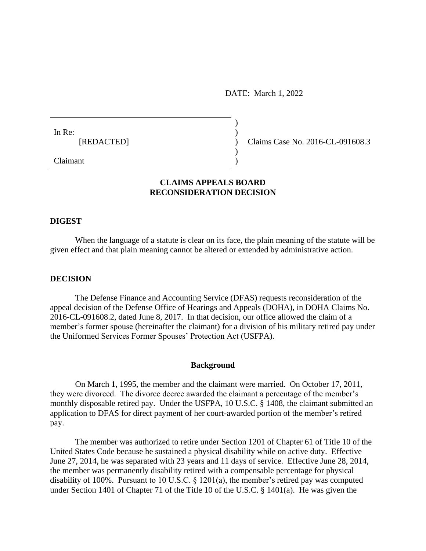DATE: March 1, 2022

)

| In Re: |            |  |
|--------|------------|--|
|        | [REDACTED] |  |
|        |            |  |

) Claims Case No. 2016-CL-091608.3

Claimant )

## **CLAIMS APPEALS BOARD RECONSIDERATION DECISION**

### **DIGEST**

When the language of a statute is clear on its face, the plain meaning of the statute will be given effect and that plain meaning cannot be altered or extended by administrative action.

### **DECISION**

The Defense Finance and Accounting Service (DFAS) requests reconsideration of the appeal decision of the Defense Office of Hearings and Appeals (DOHA), in DOHA Claims No. 2016-CL-091608.2, dated June 8, 2017. In that decision, our office allowed the claim of a member's former spouse (hereinafter the claimant) for a division of his military retired pay under the Uniformed Services Former Spouses' Protection Act (USFPA).

### **Background**

On March 1, 1995, the member and the claimant were married. On October 17, 2011, they were divorced. The divorce decree awarded the claimant a percentage of the member's monthly disposable retired pay. Under the USFPA, 10 U.S.C. § 1408, the claimant submitted an application to DFAS for direct payment of her court-awarded portion of the member's retired pay.

The member was authorized to retire under Section 1201 of Chapter 61 of Title 10 of the United States Code because he sustained a physical disability while on active duty. Effective June 27, 2014, he was separated with 23 years and 11 days of service. Effective June 28, 2014, the member was permanently disability retired with a compensable percentage for physical disability of 100%. Pursuant to 10 U.S.C. § 1201(a), the member's retired pay was computed under Section 1401 of Chapter 71 of the Title 10 of the U.S.C. § 1401(a). He was given the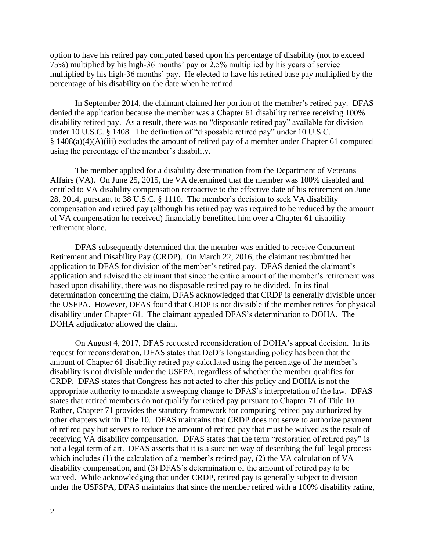option to have his retired pay computed based upon his percentage of disability (not to exceed 75%) multiplied by his high-36 months' pay or 2.5% multiplied by his years of service multiplied by his high-36 months' pay. He elected to have his retired base pay multiplied by the percentage of his disability on the date when he retired.

In September 2014, the claimant claimed her portion of the member's retired pay. DFAS denied the application because the member was a Chapter 61 disability retiree receiving 100% disability retired pay. As a result, there was no "disposable retired pay" available for division under 10 U.S.C. § 1408. The definition of "disposable retired pay" under 10 U.S.C.  $§ 1408(a)(4)(A)(iii)$  excludes the amount of retired pay of a member under Chapter 61 computed using the percentage of the member's disability.

The member applied for a disability determination from the Department of Veterans Affairs (VA). On June 25, 2015, the VA determined that the member was 100% disabled and entitled to VA disability compensation retroactive to the effective date of his retirement on June 28, 2014, pursuant to 38 U.S.C. § 1110. The member's decision to seek VA disability compensation and retired pay (although his retired pay was required to be reduced by the amount of VA compensation he received) financially benefitted him over a Chapter 61 disability retirement alone.

DFAS subsequently determined that the member was entitled to receive Concurrent Retirement and Disability Pay (CRDP). On March 22, 2016, the claimant resubmitted her application to DFAS for division of the member's retired pay. DFAS denied the claimant's application and advised the claimant that since the entire amount of the member's retirement was based upon disability, there was no disposable retired pay to be divided. In its final determination concerning the claim, DFAS acknowledged that CRDP is generally divisible under the USFPA. However, DFAS found that CRDP is not divisible if the member retires for physical disability under Chapter 61. The claimant appealed DFAS's determination to DOHA. The DOHA adjudicator allowed the claim.

On August 4, 2017, DFAS requested reconsideration of DOHA's appeal decision. In its request for reconsideration, DFAS states that DoD's longstanding policy has been that the amount of Chapter 61 disability retired pay calculated using the percentage of the member's disability is not divisible under the USFPA, regardless of whether the member qualifies for CRDP. DFAS states that Congress has not acted to alter this policy and DOHA is not the appropriate authority to mandate a sweeping change to DFAS's interpretation of the law. DFAS states that retired members do not qualify for retired pay pursuant to Chapter 71 of Title 10. Rather, Chapter 71 provides the statutory framework for computing retired pay authorized by other chapters within Title 10. DFAS maintains that CRDP does not serve to authorize payment of retired pay but serves to reduce the amount of retired pay that must be waived as the result of receiving VA disability compensation. DFAS states that the term "restoration of retired pay" is not a legal term of art. DFAS asserts that it is a succinct way of describing the full legal process which includes (1) the calculation of a member's retired pay, (2) the VA calculation of VA disability compensation, and (3) DFAS's determination of the amount of retired pay to be waived. While acknowledging that under CRDP, retired pay is generally subject to division under the USFSPA, DFAS maintains that since the member retired with a 100% disability rating,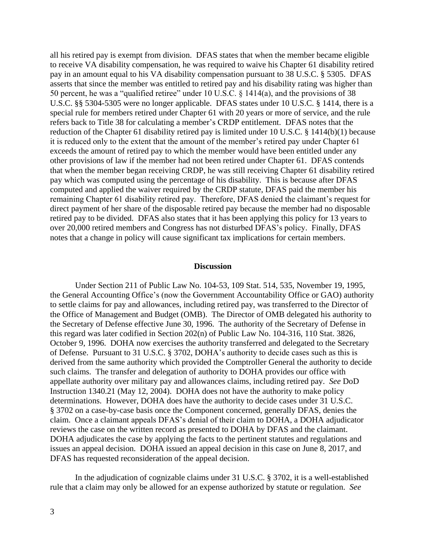all his retired pay is exempt from division. DFAS states that when the member became eligible to receive VA disability compensation, he was required to waive his Chapter 61 disability retired pay in an amount equal to his VA disability compensation pursuant to 38 U.S.C. § 5305. DFAS asserts that since the member was entitled to retired pay and his disability rating was higher than 50 percent, he was a "qualified retiree" under 10 U.S.C. § 1414(a), and the provisions of 38 U.S.C. §§ 5304-5305 were no longer applicable. DFAS states under 10 U.S.C. § 1414, there is a special rule for members retired under Chapter 61 with 20 years or more of service, and the rule refers back to Title 38 for calculating a member's CRDP entitlement. DFAS notes that the reduction of the Chapter 61 disability retired pay is limited under 10 U.S.C. § 1414(b)(1) because it is reduced only to the extent that the amount of the member's retired pay under Chapter 61 exceeds the amount of retired pay to which the member would have been entitled under any other provisions of law if the member had not been retired under Chapter 61. DFAS contends that when the member began receiving CRDP, he was still receiving Chapter 61 disability retired pay which was computed using the percentage of his disability. This is because after DFAS computed and applied the waiver required by the CRDP statute, DFAS paid the member his remaining Chapter 61 disability retired pay. Therefore, DFAS denied the claimant's request for direct payment of her share of the disposable retired pay because the member had no disposable retired pay to be divided. DFAS also states that it has been applying this policy for 13 years to over 20,000 retired members and Congress has not disturbed DFAS's policy. Finally, DFAS notes that a change in policy will cause significant tax implications for certain members.

#### **Discussion**

Under Section 211 of Public Law No. 104-53, 109 Stat. 514, 535, November 19, 1995, the General Accounting Office's (now the Government Accountability Office or GAO) authority to settle claims for pay and allowances, including retired pay, was transferred to the Director of the Office of Management and Budget (OMB). The Director of OMB delegated his authority to the Secretary of Defense effective June 30, 1996. The authority of the Secretary of Defense in this regard was later codified in Section 202(n) of Public Law No. 104-316, 110 Stat. 3826, October 9, 1996. DOHA now exercises the authority transferred and delegated to the Secretary of Defense. Pursuant to 31 U.S.C. § 3702, DOHA's authority to decide cases such as this is derived from the same authority which provided the Comptroller General the authority to decide such claims. The transfer and delegation of authority to DOHA provides our office with appellate authority over military pay and allowances claims, including retired pay. *See* DoD Instruction 1340.21 (May 12, 2004). DOHA does not have the authority to make policy determinations. However, DOHA does have the authority to decide cases under 31 U.S.C. § 3702 on a case-by-case basis once the Component concerned, generally DFAS, denies the claim. Once a claimant appeals DFAS's denial of their claim to DOHA, a DOHA adjudicator reviews the case on the written record as presented to DOHA by DFAS and the claimant. DOHA adjudicates the case by applying the facts to the pertinent statutes and regulations and issues an appeal decision. DOHA issued an appeal decision in this case on June 8, 2017, and DFAS has requested reconsideration of the appeal decision.

In the adjudication of cognizable claims under 31 U.S.C. § 3702, it is a well-established rule that a claim may only be allowed for an expense authorized by statute or regulation. *See*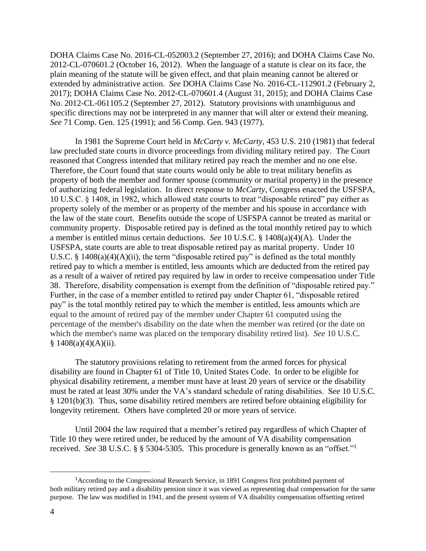DOHA Claims Case No. 2016-CL-052003.2 (September 27, 2016); and DOHA Claims Case No. 2012-CL-070601.2 (October 16, 2012). When the language of a statute is clear on its face, the plain meaning of the statute will be given effect, and that plain meaning cannot be altered or extended by administrative action. *See* DOHA Claims Case No. 2016-CL-112901.2 (February 2, 2017); DOHA Claims Case No. 2012-CL-070601.4 (August 31, 2015); and DOHA Claims Case No. 2012-CL-061105.2 (September 27, 2012). Statutory provisions with unambiguous and specific directions may not be interpreted in any manner that will alter or extend their meaning. *See* 71 Comp. Gen. 125 (1991); and 56 Comp. Gen. 943 (1977).

In 1981 the Supreme Court held in *McCarty v. McCarty*, 453 U.S. 210 (1981) that federal law precluded state courts in divorce proceedings from dividing military retired pay. The Court reasoned that Congress intended that military retired pay reach the member and no one else. Therefore, the Court found that state courts would only be able to treat military benefits as property of both the member and former spouse (community or marital property) in the presence of authorizing federal legislation. In direct response to *McCarty*, Congress enacted the USFSPA, 10 U.S.C. § 1408, in 1982, which allowed state courts to treat "disposable retired" pay either as property solely of the member or as property of the member and his spouse in accordance with the law of the state court. Benefits outside the scope of USFSPA cannot be treated as marital or community property. Disposable retired pay is defined as the total monthly retired pay to which a member is entitled minus certain deductions. *See* 10 U.S.C. § 1408(a)(4)(A). Under the USFSPA, state courts are able to treat disposable retired pay as marital property. Under 10 U.S.C. § 1408(a)(4)(A)(ii), the term "disposable retired pay" is defined as the total monthly retired pay to which a member is entitled, less amounts which are deducted from the retired pay as a result of a waiver of retired pay required by law in order to receive compensation under Title 38. Therefore, disability compensation is exempt from the definition of "disposable retired pay." Further, in the case of a member entitled to retired pay under Chapter 61, "disposable retired pay" is the total monthly retired pay to which the member is entitled, less amounts which are equal to the amount of retired pay of the member under Chapter 61 computed using the percentage of the member's disability on the date when the member was retired (or the date on which the member's name was placed on the temporary disability retired list). *See* 10 U.S.C.  $$1408(a)(4)(A)(ii).$ 

The statutory provisions relating to retirement from the armed forces for physical disability are found in Chapter 61 of Title 10, United States Code. In order to be eligible for physical disability retirement, a member must have at least 20 years of service or the disability must be rated at least 30% under the VA's standard schedule of rating disabilities. S*ee* 10 U.S.C. § 1201(b)(3). Thus, some disability retired members are retired before obtaining eligibility for longevity retirement. Others have completed 20 or more years of service.

Until 2004 the law required that a member's retired pay regardless of which Chapter of Title 10 they were retired under, be reduced by the amount of VA disability compensation received. See 38 U.S.C. § § 5304-5305. This procedure is generally known as an "offset."<sup>1</sup>

 $\overline{a}$ 

<sup>&</sup>lt;sup>1</sup> According to the Congressional Research Service, in 1891 Congress first prohibited payment of both military retired pay and a disability pension since it was viewed as representing dual compensation for the same purpose. The law was modified in 1941, and the present system of VA disability compensation offsetting retired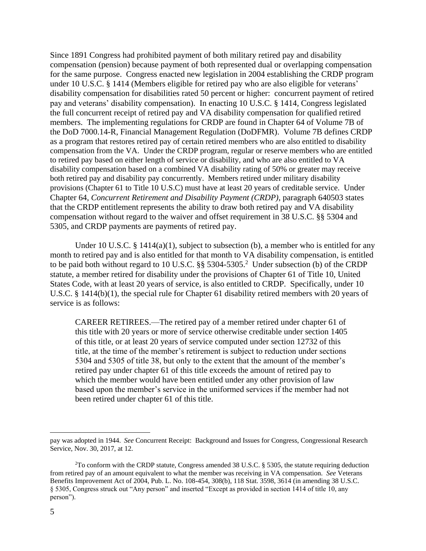Since 1891 Congress had prohibited payment of both military retired pay and disability compensation (pension) because payment of both represented dual or overlapping compensation for the same purpose. Congress enacted new legislation in 2004 establishing the CRDP program under 10 U.S.C. § 1414 (Members eligible for retired pay who are also eligible for veterans' disability compensation for disabilities rated 50 percent or higher: concurrent payment of retired pay and veterans' disability compensation). In enacting 10 U.S.C. § 1414, Congress legislated the full concurrent receipt of retired pay and VA disability compensation for qualified retired members. The implementing regulations for CRDP are found in Chapter 64 of Volume 7B of the DoD 7000.14-R, Financial Management Regulation (DoDFMR). Volume 7B defines CRDP as a program that restores retired pay of certain retired members who are also entitled to disability compensation from the VA. Under the CRDP program, regular or reserve members who are entitled to retired pay based on either length of service or disability, and who are also entitled to VA disability compensation based on a combined VA disability rating of 50% or greater may receive both retired pay and disability pay concurrently. Members retired under military disability provisions (Chapter 61 to Title 10 U.S.C) must have at least 20 years of creditable service. Under Chapter 64, *Concurrent Retirement and Disability Payment (CRDP)*, paragraph 640503 states that the CRDP entitlement represents the ability to draw both retired pay and VA disability compensation without regard to the waiver and offset requirement in 38 U.S.C. §§ 5304 and 5305, and CRDP payments are payments of retired pay.

Under 10 U.S.C. § 1414(a)(1), subject to subsection (b), a member who is entitled for any month to retired pay and is also entitled for that month to VA disability compensation, is entitled to be paid both without regard to 10 U.S.C.  $\S$ § 5304-5305.<sup>2</sup> Under subsection (b) of the CRDP statute, a member retired for disability under the provisions of Chapter 61 of Title 10, United States Code, with at least 20 years of service, is also entitled to CRDP. Specifically, under 10 U.S.C. § 1414(b)(1), the special rule for Chapter 61 disability retired members with 20 years of service is as follows:

CAREER RETIREES.—The retired pay of a member retired under chapter 61 of this title with 20 years or more of service otherwise creditable under section 1405 of this title, or at least 20 years of service computed under section 12732 of this title, at the time of the member's retirement is subject to reduction under sections 5304 and 5305 of title 38, but only to the extent that the amount of the member's retired pay under chapter 61 of this title exceeds the amount of retired pay to which the member would have been entitled under any other provision of law based upon the member's service in the uniformed services if the member had not been retired under chapter 61 of this title.

 $\overline{a}$ 

pay was adopted in 1944. *See* Concurrent Receipt: Background and Issues for Congress, Congressional Research Service, Nov. 30, 2017, at 12.

<sup>&</sup>lt;sup>2</sup>To conform with the CRDP statute, Congress amended 38 U.S.C. § 5305, the statute requiring deduction from retired pay of an amount equivalent to what the member was receiving in VA compensation. *See* Veterans Benefits Improvement Act of 2004, Pub. L. No. 108-454, 308(b), 118 Stat. 3598, 3614 (in amending 38 U.S.C. § 5305, Congress struck out "Any person" and inserted "Except as provided in section 1414 of title 10, any person").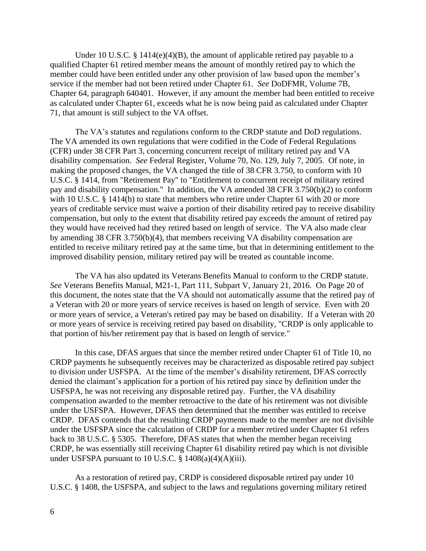Under 10 U.S.C. § 1414 $(e)(4)(B)$ , the amount of applicable retired pay payable to a qualified Chapter 61 retired member means the amount of monthly retired pay to which the member could have been entitled under any other provision of law based upon the member's service if the member had not been retired under Chapter 61. *See* DoDFMR, Volume 7B, Chapter 64, paragraph 640401. However, if any amount the member had been entitled to receive as calculated under Chapter 61, exceeds what he is now being paid as calculated under Chapter 71, that amount is still subject to the VA offset.

The VA's statutes and regulations conform to the CRDP statute and DoD regulations. The VA amended its own regulations that were codified in the Code of Federal Regulations (CFR) under 38 CFR Part 3, concerning concurrent receipt of military retired pay and VA disability compensation. *See* Federal Register, Volume 70, No. 129, July 7, 2005. Of note, in making the proposed changes, the VA changed the title of 38 CFR 3.750, to conform with 10 U.S.C. § 1414, from "Retirement Pay" to "Entitlement to concurrent receipt of military retired pay and disability compensation." In addition, the VA amended 38 CFR 3.750(b)(2) to conform with 10 U.S.C. § 1414(b) to state that members who retire under Chapter 61 with 20 or more years of creditable service must waive a portion of their disability retired pay to receive disability compensation, but only to the extent that disability retired pay exceeds the amount of retired pay they would have received had they retired based on length of service. The VA also made clear by amending 38 CFR 3.750(b)(4), that members receiving VA disability compensation are entitled to receive military retired pay at the same time, but that in determining entitlement to the improved disability pension, military retired pay will be treated as countable income.

The VA has also updated its Veterans Benefits Manual to conform to the CRDP statute. *See* Veterans Benefits Manual, M21-1, Part 111, Subpart V, January 21, 2016. On Page 20 of this document, the notes state that the VA should not automatically assume that the retired pay of a Veteran with 20 or more years of service receives is based on length of service. Even with 20 or more years of service, a Veteran's retired pay may be based on disability. If a Veteran with 20 or more years of service is receiving retired pay based on disability, "CRDP is only applicable to that portion of his/her retirement pay that is based on length of service."

In this case, DFAS argues that since the member retired under Chapter 61 of Title 10, no CRDP payments he subsequently receives may be characterized as disposable retired pay subject to division under USFSPA. At the time of the member's disability retirement, DFAS correctly denied the claimant's application for a portion of his retired pay since by definition under the USFSPA, he was not receiving any disposable retired pay. Further, the VA disability compensation awarded to the member retroactive to the date of his retirement was not divisible under the USFSPA. However, DFAS then determined that the member was entitled to receive CRDP. DFAS contends that the resulting CRDP payments made to the member are not divisible under the USFSPA since the calculation of CRDP for a member retired under Chapter 61 refers back to 38 U.S.C. § 5305. Therefore, DFAS states that when the member began receiving CRDP, he was essentially still receiving Chapter 61 disability retired pay which is not divisible under USFSPA pursuant to 10 U.S.C.  $\S$  1408(a)(4)(A)(iii).

As a restoration of retired pay, CRDP is considered disposable retired pay under 10 U.S.C. § 1408, the USFSPA, and subject to the laws and regulations governing military retired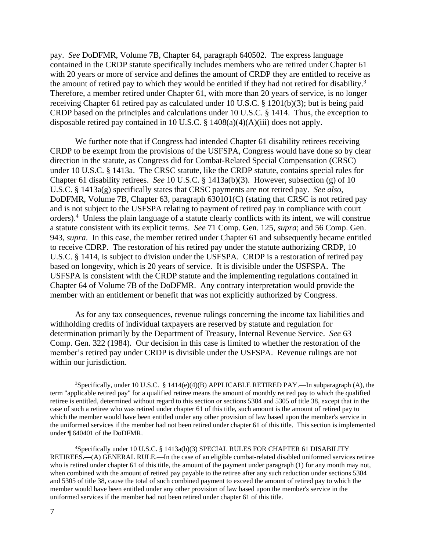pay. *See* DoDFMR, Volume 7B, Chapter 64, paragraph 640502. The express language contained in the CRDP statute specifically includes members who are retired under Chapter 61 with 20 years or more of service and defines the amount of CRDP they are entitled to receive as the amount of retired pay to which they would be entitled if they had not retired for disability.<sup>3</sup> Therefore, a member retired under Chapter 61, with more than 20 years of service, is no longer receiving Chapter 61 retired pay as calculated under 10 U.S.C. § 1201(b)(3); but is being paid CRDP based on the principles and calculations under 10 U.S.C. § 1414. Thus, the exception to disposable retired pay contained in 10 U.S.C. § 1408(a)(4)(A)(iii) does not apply.

We further note that if Congress had intended Chapter 61 disability retirees receiving CRDP to be exempt from the provisions of the USFSPA, Congress would have done so by clear direction in the statute, as Congress did for Combat-Related Special Compensation (CRSC) under 10 U.S.C. § 1413a. The CRSC statute, like the CRDP statute, contains special rules for Chapter 61 disability retirees. *See* 10 U.S.C. § 1413a(b)(3). However, subsection (g) of 10 U.S.C. § 1413a(g) specifically states that CRSC payments are not retired pay. *See also,*  DoDFMR, Volume 7B, Chapter 63, paragraph 630101(C) (stating that CRSC is not retired pay and is not subject to the USFSPA relating to payment of retired pay in compliance with court orders).<sup>4</sup> Unless the plain language of a statute clearly conflicts with its intent, we will construe a statute consistent with its explicit terms. *See* 71 Comp. Gen. 125, *supra*; and 56 Comp. Gen. 943, *supra*. In this case, the member retired under Chapter 61 and subsequently became entitled to receive CDRP. The restoration of his retired pay under the statute authorizing CRDP, 10 U.S.C. § 1414, is subject to division under the USFSPA. CRDP is a restoration of retired pay based on longevity, which is 20 years of service. It is divisible under the USFSPA. The USFSPA is consistent with the CRDP statute and the implementing regulations contained in Chapter 64 of Volume 7B of the DoDFMR. Any contrary interpretation would provide the member with an entitlement or benefit that was not explicitly authorized by Congress.

As for any tax consequences, revenue rulings concerning the income tax liabilities and withholding credits of individual taxpayers are reserved by statute and regulation for determination primarily by the Department of Treasury, Internal Revenue Service. *See* 63 Comp. Gen. 322 (1984). Our decision in this case is limited to whether the restoration of the member's retired pay under CRDP is divisible under the USFSPA. Revenue rulings are not within our jurisdiction.

 $\overline{a}$ 

<sup>&</sup>lt;sup>3</sup>Specifically, under 10 U.S.C. § 1414(e)(4)(B) APPLICABLE RETIRED PAY.—In subparagraph (A), the term "applicable retired pay" for a qualified retiree means the amount of monthly retired pay to which the qualified retiree is entitled, determined without regard to this section or sections 5304 and 5305 of title 38, except that in the case of such a retiree who was retired under chapter 61 of this title, such amount is the amount of retired pay to which the member would have been entitled under any other provision of law based upon the member's service in the uniformed services if the member had not been retired under chapter 61 of this title. This section is implemented under ¶ 640401 of the DoDFMR.

<sup>4</sup> Specifically under 10 U.S.C. § 1413a(b)(3) SPECIAL RULES FOR CHAPTER 61 DISABILITY RETIREES**.—**(A) GENERAL RULE.—In the case of an eligible combat-related disabled uniformed services retiree who is retired under chapter 61 of this title, the amount of the payment under paragraph (1) for any month may not, when combined with the amount of retired pay payable to the retiree after any such reduction under sections 5304 and 5305 of title 38, cause the total of such combined payment to exceed the amount of retired pay to which the member would have been entitled under any other provision of law based upon the member's service in the uniformed services if the member had not been retired under chapter 61 of this title.